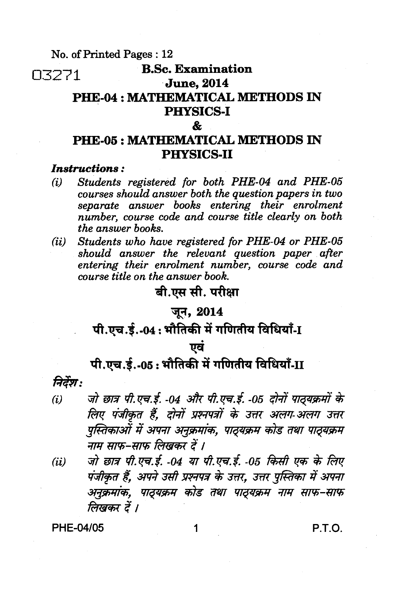**No. of Printed Pages : 12** 

# 03271 **B.Sc. Examination**

### **June, 2014**

## **PHE-04 : MATHEMATICAL METHODS IN PHYSICS-I**

#### $\mathbf{k}$

## **PHE-05 : MATHEMATICAL METHODS IN PHYSICS-II**

### *Instructions :*

- *(i) Students registered for both PHE -04 and PHE-05 courses should answer both the question papers in two separate answer books entering their enrolment number, course code and course title clearly on both the answer books.*
- *(ii) Students who have registered for PHE-04 or PHE-05 should answer the relevant question paper after entering their enrolment number, course code and course title on the answer book.*

## **बी.एस सी. परीक्षा**

## **जून, 2014**

## पी.एच.ई.-04: भौतिकी में गणितीय विधियाँ-I

## <u>एवं</u>

# पी.एच.ई.-05: भौतिकी में गणितीय विधियाँ-II

## निर्देश:

- *(i) जो छात्र पी.एच.ई. -04 और पी.एच.ई. -05 दोनों पाठ्यक्रमों के लिए पंजीकृत हैं. दोनों प्रश्नपत्रों के उत्तर अलग-अलग उत्तर पुस्तिकाओं में अपना अनुक्रमांक, पाठ्यक्रम कोड तथा पाठ्यक्रम 3771 ATilWf \*' I*
- *(ii) जो छात्र पी.एच.ई. -04 या पी.एच.ई. -05 किसी एक के लिए* iT *ff, NO. 3-e 3777*1*7W \* URT, ,art j***r***AWT apraT arim*--4*7\*, tfAvismi las ffeir victershy 7N*- *typh-f1/y7 लिखकर दें ।*

**PHE-04/05 1 P.T.O.**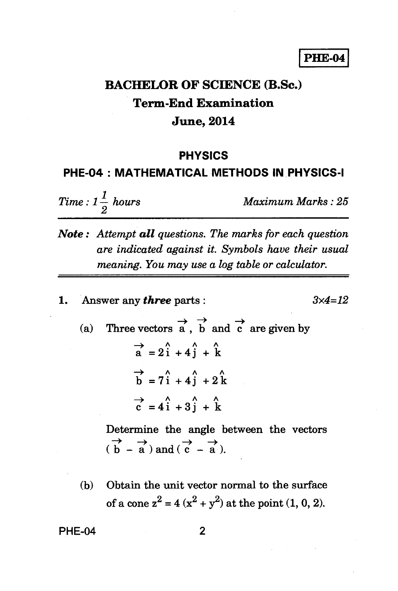### **PHE-04**

# **BACHELOR OF SCIENCE (B.Sc.) Term-End Examination June, 2014**

#### **PHYSICS**

### **PHE-04 : MATHEMATICAL METHODS IN PHYSICS-I**

*Time :*  $1\frac{1}{2}$  *hours Maximum Marks : 25* 

- *Note : Attempt all questions. The marks for each question are indicated against it. Symbols have their usual meaning. You may use a log table or calculator.*
- **1. Answer any** *three* **parts :** *3x4=12*

(a) Three vectors  $\overrightarrow{a}$ ,  $\overrightarrow{b}$  and  $\overrightarrow{c}$  are given by  $\overrightarrow{a}$  = 2<sup> $\hat{i}$ </sup> + 4 $\hat{j}$  +  $\hat{k}$  $\overrightarrow{b}$  = 7 $\hat{i}$  + 4 $\hat{j}$  + 2 $\hat{k}$  $\overrightarrow{c} = 4\overrightarrow{i} + 3\overrightarrow{j} + \overrightarrow{k}$ 

> **Determine the angle between the vectors**   $\overrightarrow{b}$   $\rightarrow$   $\overrightarrow{a}$ ) and  $\overrightarrow{c}$   $\rightarrow$   $\overrightarrow{a}$ ) **— a ).**

**(b) Obtain the unit vector normal to the surface**  of a cone  $z^2 = 4(x^2 + y^2)$  at the point  $(1, 0, 2)$ .

#### **PHE-04 2**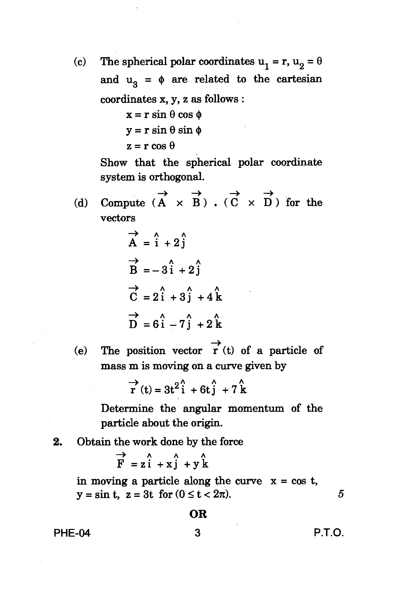(c) The spherical polar coordinates  $u_1 = r$ ,  $u_2 = \theta$ and  $u_3 = \phi$  are related to the cartesian **coordinates x, y, z as follows :** 

> $x = r \sin \theta \cos \phi$  $y = r \sin \theta \sin \phi$

$$
z = r \cos \theta
$$

**Show that the spherical polar coordinate system is orthogonal.** 

**->**  (d) Compute  $(A \times B)$ .  $(C \times D)$  for the **vectors** 

$$
\overrightarrow{A} = \hat{i} + 2\hat{j}
$$
  
\n
$$
\overrightarrow{B} = -3\hat{i} + 2\hat{j}
$$
  
\n
$$
\overrightarrow{C} = 2\hat{i} + 3\hat{j} + 4\hat{k}
$$
  
\n
$$
\overrightarrow{D} = 6\hat{i} - 7\hat{j} + 2\hat{k}
$$

(e) The position vector  $\overrightarrow{r}$  (t) of a particle of **mass m is moving on a curve given by** 

$$
\overrightarrow{r}(t) = 3t^2 \hat{i} + 6t \hat{j} + 7 \hat{k}
$$

**Determine the angular momentum of the particle about the origin.** 

**2. Obtain the work done by the force** 

 $\begin{array}{ccc}\n\rightarrow & \rightarrow & \rightarrow & \rightarrow \\
\rightarrow & \rightarrow & \rightarrow & \rightarrow\n\end{array}$  $\overrightarrow{F}$  = zi + xj + yk

in moving a particle along the curve  $x = \cos t$ ,  $y = \sin t$ ,  $z = 3t$  for  $(0 \le t < 2\pi)$ .

**OR** 

**PHE-04 3 P.T.O.** 

5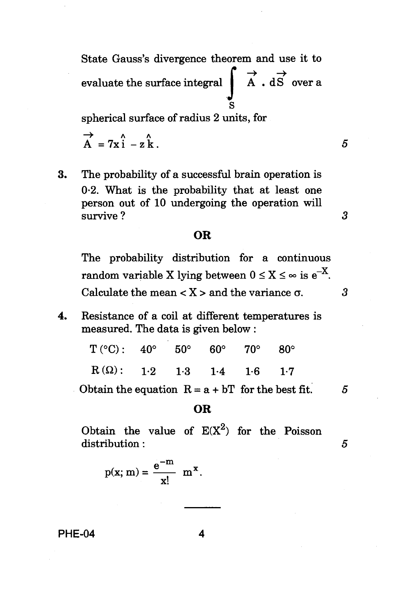State Gauss's divergence theorem and use it to evaluate the surface integral  $\overrightarrow{A}$  . dS over a S

spherical surface of radius 2 units, for

$$
\overrightarrow{A} = 7x \hat{i} - z \hat{k}.
$$

*3* 

3. The probability of a successful brain operation is 0.2. What is the probability that at least one person out of 10 undergoing the operation will survive ?

### **OR**

The probability distribution for a continuous random variable X lying between  $0 \le X \le \infty$  is  $e^{-X}$ . Calculate the mean  $\langle X \rangle$  and the variance  $\sigma$ .  $\beta$ 

4. Resistance of a coil at different temperatures is measured. The data is given below :

| $T(^{\circ}C): 40^{\circ} 50^{\circ} 60^{\circ} 70^{\circ} 80^{\circ}$ |  |  |  |
|------------------------------------------------------------------------|--|--|--|
| $R(\Omega)$ : 1.2 1.3 1.4 1.6 1.7                                      |  |  |  |

Obtain the equation  $R = a + bT$  for the best fit. 5

#### **OR**

Obtain the value of  $E(X^2)$  for the Poisson  $\text{distribution:}\qquad \qquad \textbf{5}$ 

$$
p(x; m) = \frac{e^{-m}}{x!} m^{x}.
$$

**PHE-04 4**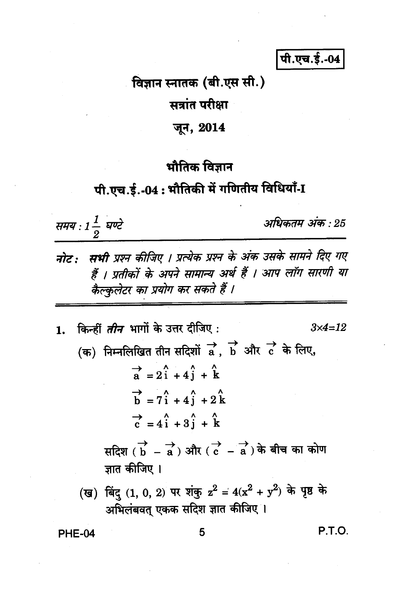पी.एच.ई.-04

## विज्ञान स्नातक (बी.एस सी.)

सत्रांत परीक्षा

जून, 2014

## भौतिक विज्ञान

# पी.एच.ई.-04: भौतिकी में गणितीय विधियाँ-I

समय : 1 $\frac{1}{2}$  घण्टे

अधिकतम अंक : 25

- नोट : सभी प्रश्न कीजिए । प्रत्येक प्रश्न के अंक उसके सामने दिए गए हैं । प्रतीकों के अपने सामान्य अर्थ हैं । आप लॉग सारणी या कैल्कुलेटर का प्रयोग कर सकते हैं ।
- 1. किन्हीं *तीन* भागों के उत्तर दीजिए :  $3x4 = 12$ (क) निम्नलिखित तीन सदिशों  $\overrightarrow{a}$ ,  $\overrightarrow{b}$  और  $\overrightarrow{c}$  के लिए,  $\overrightarrow{a}$  = 2i + 4i + k  $\overrightarrow{h}$  = 7 $\overrightarrow{i}$  + 4 $\overrightarrow{i}$  + 2 $\overrightarrow{k}$  $\vec{c} = 4\hat{i} + 3\hat{i} + \hat{k}$ सदिश ( $\overrightarrow{b}$  – a) और ( $\overrightarrow{c}$  – a) के बीच का कोण ज्ञात कीजिए । (ख) बिंदु (1, 0, 2) पर शंकु  $z^2 = 4(x^2 + y^2)$  के पृष्ठ के अभिलंबवत् एकक सदिश ज्ञात कीजिए ।

**PHE-04** 

P.T.O.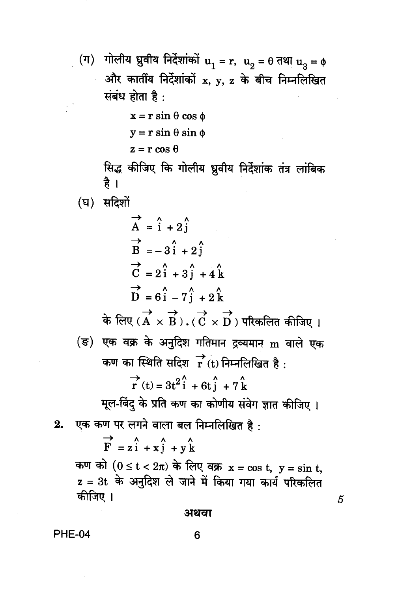(ग) गोलीय ध्रुवीय निर्देशांकों  $u_1 = r$ ,  $u_2 = \theta$  तथा  $u_3 = \phi$ और कार्तीय निर्देशांकों x, y, z के बीच निम्नलिखित संबंध होता है:

 $x = r \sin \theta \cos \phi$ 

```
y = r \sin \theta \sin \phi
```
 $z = r \cos \theta$ 

सिद्ध कीजिए कि गोलीय ध्रुवीय निर्देशांक तंत्र लांबिक है ।

(घ) सदिशों

 $\overrightarrow{A}$  =  $\hat{i}$  + 2 $\hat{j}$  $\overrightarrow{B} = -3\hat{i} + 2\hat{j}$  $\overrightarrow{C}$  = 2i + 3j + 4k  $\overrightarrow{D}$  = 6 $\hat{i}$  - 7 $\hat{j}$  + 2 $\hat{k}$ के लिए ( $\overrightarrow{A} \times \overrightarrow{B}$ ). ( $\overrightarrow{C} \times \overrightarrow{D}$ ) परिकलित कीजिए । (ङ) एक वक्र के अनुदिश गतिमान द्रव्यमान m वाले एक कण का स्थिति सदिश $\overrightarrow{r}$  (t) निम्नलिखित है:  $\overrightarrow{r}(t) = 3t^2\hat{i} + 6t\hat{j} + 7\hat{k}$ मूल-बिंदु के प्रति कण का कोणीय संवेग ज्ञात कीजिए । एक कण पर लगने वाला बल निम्नलिखित है:  $\overrightarrow{F}$  = zi + xj + yk कण को  $(0 \le t < 2\pi)$  के लिए वक्र  $x = \cos t$ ,  $y = \sin t$ , z = 3t के अनुदिश ले जाने में किया गया कार्य परिकलित

कीजिए ।

अथवा

**PHE-04** 

 $2.$ 

5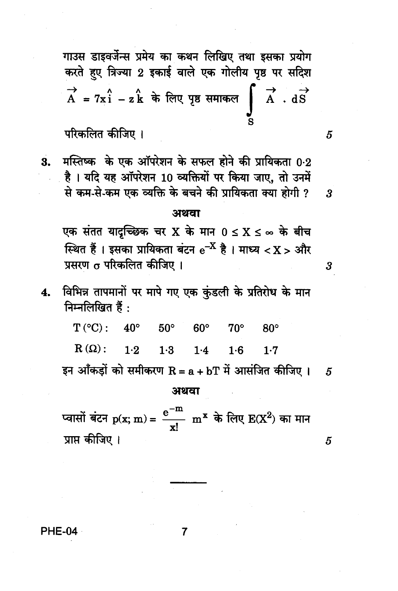गाउस डाइवर्जेन्स प्रमेय का कथन लिखिए तथा इसका प्रयोग करते हुए त्रिज्या 2 इकाई वाले एक गोलीय पृष्ठ पर सदिश  $\overrightarrow{A}$  = 7x1 - zk के लिए पृष्ठ समाकल  $\overrightarrow{A}$  . dS

5

3

3

5

5

## परिकलित कीजिए ।

मस्तिष्क के एक ऑपरेशन के सफल होने की प्रायिकता 0.2 **3.** है। यदि यह ऑपरेशन 10 व्यक्तियों पर किया जाए, तो उनमें से कम-से-कम एक व्यक्ति के बचने की प्रायिकता क्या होगी ?

#### अथवा

एक संतत यादच्छिक चर X के मान  $0 \le X \le \infty$  के बीच स्थित हैं । इसका प्रायिकता बंटन  $\mathrm{e}^{-\mathrm{X}}$  है । माध्य  $<\mathrm{X}>3$ गैर प्रसरण o परिकलित कीजिए ।

विभिन्न तापमानों पर मापे गए एक कुंडली के प्रतिरोध के मान  $4.$ निम्नलिखित हैं:

 $T (°C)$ :  $40^{\circ}$  $50^\circ$  $60^{\circ}$  $70^\circ$  $80^\circ$  $R(\Omega)$ :  $1.2$  $1.3$  $1.4$  $1.6$  $1.7$ इन आँकडों को समीकरण R = a + bT में आसंजित कीजिए ।

#### अथवा

प्वासों बंटन  $p(x; m) = \frac{e^{-m}}{x!}$  m<sup>x</sup> के लिए  $E(X^2)$  का मान प्राप्त कीजिए ।

**PHE-04**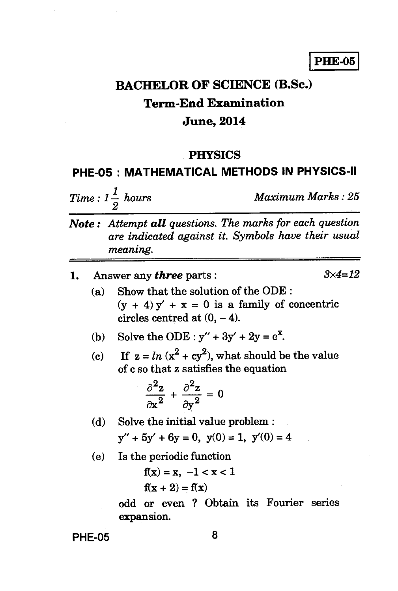## **PHE-05**

# **BACHELOR OF SCIENCE (B.Sc.) Term-End Examination June, 2014**

### **PHYSICS**

### **PHE-05 : MATHEMATICAL METHODS IN PHYSICS-II**

 $Time: 1\frac{1}{2}$  hours

*Maximum Marks : 25* 

*Note : Attempt all questions. The marks for each question are indicated against it. Symbols have their usual meaning.* 

| 1. |       | Answer any <i>three</i> parts :                                                                                                                                                |  |  |
|----|-------|--------------------------------------------------------------------------------------------------------------------------------------------------------------------------------|--|--|
|    | (a)   | Show that the solution of the ODE:<br>$(y + 4)y' + x = 0$ is a family of concentric<br>circles centred at $(0, -4)$ .                                                          |  |  |
|    |       | (b) Solve the ODE : $y'' + 3y' + 2y = e^x$ .                                                                                                                                   |  |  |
|    |       | (c) If $z = ln(x^2 + cy^2)$ , what should be the value<br>of c so that z satisfies the equation<br>$\frac{\partial^2 z}{\partial x^2} + \frac{\partial^2 z}{\partial y^2} = 0$ |  |  |
|    | (d)   | Solve the initial value problem :<br>$y'' + 5y' + 6y = 0$ , $y(0) = 1$ , $y'(0) = 4$                                                                                           |  |  |
|    | (e) — | Is the periodic function<br>$f(x) = x, -1 < x < 1$<br>$f(x + 2) = f(x)$                                                                                                        |  |  |

**odd or even ? Obtain its Fourier series expansion.** 

**PHE-05 8**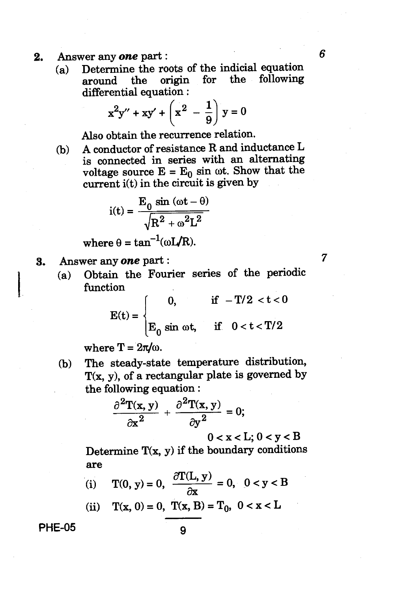## **2. Answer any** *one* **part :** *6*

**(a) Determine the roots of the indicial equation around the origin for the following differential equation :** 

$$
x^{2}y'' + xy' + \left(x^{2} - \frac{1}{9}\right)y = 0
$$

**Also obtain the recurrence relation.** 

**(b) A conductor of resistance R and inductance L is connected in series with an alternating**  voltage source  $E = E_0 \sin \omega t$ . Show that the **current i(t) in the circuit is given by** 

$$
i(t) = \frac{E_0 \sin{(\omega t - \theta)}}{\sqrt{R^2 + \omega^2 L^2}}
$$

where  $\theta = \tan^{-1}(\omega L/R)$ .

**3. Answer any** *one* **part :** 

**(a) Obtain the Fourier series of the periodic function** 

$$
E(t) = \begin{cases} 0, & \text{if } -T/2 < t < 0 \\ E_0 \sin \omega t, & \text{if } 0 < t < T/2 \end{cases}
$$

where  $T = 2\pi/\omega$ .

**(b) The steady-state temperature distribution, T(x, y), of a rectangular plate is governed by the following equation :** 

$$
\frac{\partial^2 \mathbf{T}(\mathbf{x}, \mathbf{y})}{\partial \mathbf{x}^2} + \frac{\partial^2 \mathbf{T}(\mathbf{x}, \mathbf{y})}{\partial \mathbf{y}^2} = 0;
$$

 $0 < x < L$ ;  $0 < y < B$ 

**Determine T(x, y) if the boundary conditions are** 

(i)  $T(0, y) = 0$ ,  $\frac{\partial T(L, y)}{\partial x} = 0$ ,  $0 < y < B$ 

(ii) 
$$
T(x, 0) = 0
$$
,  $T(x, B) = T_0$ ,  $0 < x < L$ 

**PHE-05** 9

 $\overline{7}$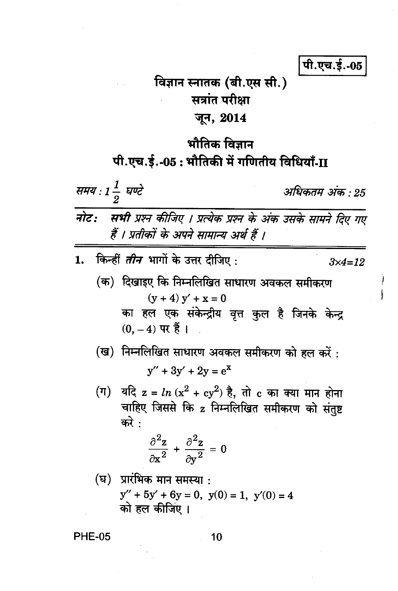पी.एच.ई.-05

# विज्ञान स्नातक (बी.एस सी.) सत्रांत परीक्षा जून, 2014

# भौतिक विज्ञान पी.एच.ई.-05 : भौतिकी में गणितीय विधियाँ-II

समय : 1 $\frac{1}{2}$  घण्टे

अधिकतम अंक • 25

- नोट: सभी प्रश्न कीजिए । प्रत्येक प्रश्न के अंक उसके सामने दिए गए हैं । प्रतीकों के अपने सामान्य अर्थ हैं ।
- किन्हीं *तीन* भागों के उत्तर दीजिए :  $\mathbf{1}$ .  $3x4=12$ 
	- (क) दिखाइए कि निम्नलिखित साधारण अवकल समीकरण  $(y + 4) y' + x = 0$ का हल एक संकेन्द्रीय वृत्त कुल है जिनके केन्द्र  $(0, -4)$  पर हैं।
	- (ख) निम्नलिखित साधारण अवकल समीकरण को हल करें:  $y'' + 3y' + 2y = e^{x}$
	- (ग) यदि z =  $ln(x^2 + cy^2)$  है, तो c का क्या मान होना चाहिए जिससे कि z निम्नलिखित समीकरण को संतष्ट करे $\cdot$

$$
\frac{\partial^2 z}{\partial x^2} + \frac{\partial^2 z}{\partial y^2} = 0
$$

(घ) प्रारंभिक मान समस्या :  $y'' + 5y' + 6y = 0$ ,  $y(0) = 1$ ,  $y'(0) = 4$ को हल कीजिए ।

**PHE-05**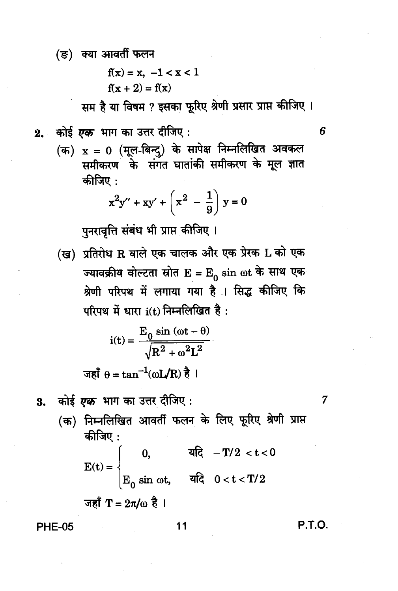(ङ) क्या आवर्ती फलन

$$
f(x) = x, -1 < x < 1
$$
\n
$$
f(x + 2) = f(x)
$$

सम है या विषम ? इसका फूरिए श्रेणी प्रसार प्राप्त कीजिए ।

(क) x = 0 (मूल-बिन्दु) के सापेक्ष निम्नलिखित अवकल समीकरण के संगत घातांकी समीकरण के मूल ज्ञात कीजिए :

$$
x^{2}y'' + xy' + \left(x^{2} - \frac{1}{9}\right)y = 0
$$

पुनरावृत्ति संबंध भी प्राप्त कीजिए ।

(ख) प्रतिरोध R वाले एक चालक और एक प्रेरक L को एक ज्यावक्रीय वोल्टता स्रोत  $E = E_0 \sin \omega t$  के साथ एक श्रेणी परिपथ में लगाया गया है । सिद्ध कीजिए कि परिपथ में धारा i(t) निम्नलिखित है:

$$
i(t) = \frac{E_0 \sin (\omega t - \theta)}{\sqrt{R^2 + \omega^2 L^2}}
$$
  
38 $\pi$ 

कोई *एक* भाग का उत्तर दीजिए : 3.

7

6

(क) निम्नलिखित आवर्ती फलन के लिए फूरिए श्रेणी प्राप्त कीजिए $:$ 

 $E(t) = \begin{cases} 0, & \text{if } t < 0 \\ E_0 \sin \omega t, & \text{if } t < 0 \end{cases}$ 

जहाँ 
$$
T = 2\pi/\omega
$$
 है ।

**PHE-05** 

#### $11$

**P.T.O.**